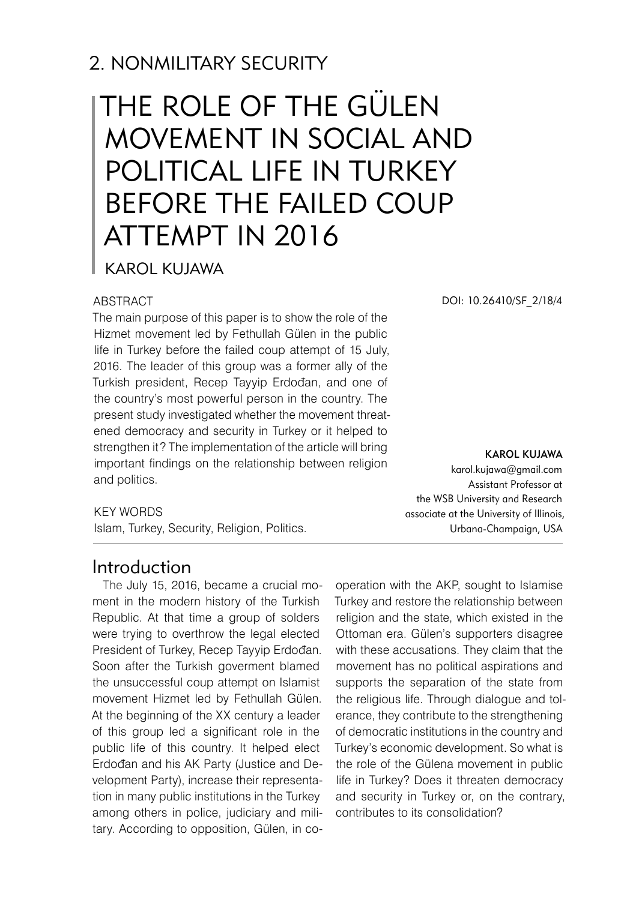# 2. NONMILITARY SECURITY

# The Role of the Gülen Movement in Social and Political Life in Turkey Before the Failed Coup Attempt in 2016

Karol Kujawa

#### **ABSTRACT**

The main purpose of this paper is to show the role of the Hizmet movement led by Fethullah Gülen in the public life in Turkey before the failed coup attempt of 15 July, 2016. The leader of this group was a former ally of the Turkish president, Recep Tayyip Erdođan, and one of the country's most powerful person in the country. The present study investigated whether the movement threatened democracy and security in Turkey or it helped to strengthen it? The implementation of the article will bring important findings on the relationship between religion and politics.

DOI: 10.26410/SF\_2/18/4

Karol Kujawa karol.kujawa@gmail.com Assistant Professor at the WSB University and Research associate at the University of Illinois, Urbana-Champaign, USA

#### KEY WORDS

Islam, Turkey, Security, Religion, Politics.

## Introduction

The July 15, 2016, became a crucial moment in the modern history of the Turkish Republic. At that time a group of solders were trying to overthrow the legal elected President of Turkey, Recep Tayyip Erdođan. Soon after the Turkish goverment blamed the unsuccessful coup attempt on Islamist movement Hizmet led by Fethullah Gülen. At the beginning of the XX century a leader of this group led a significant role in the public life of this country. It helped elect Erdođan and his AK Party (Justice and Development Party), increase their representation in many public institutions in the Turkey among others in police, judiciary and military. According to opposition, Gülen, in cooperation with the AKP, sought to Islamise Turkey and restore the relationship between religion and the state, which existed in the Ottoman era. Gülen's supporters disagree with these accusations. They claim that the movement has no political aspirations and supports the separation of the state from the religious life. Through dialogue and tolerance, they contribute to the strengthening of democratic institutions in the country and Turkey's economic development. So what is the role of the Gülena movement in public life in Turkey? Does it threaten democracy and security in Turkey or, on the contrary, contributes to its consolidation?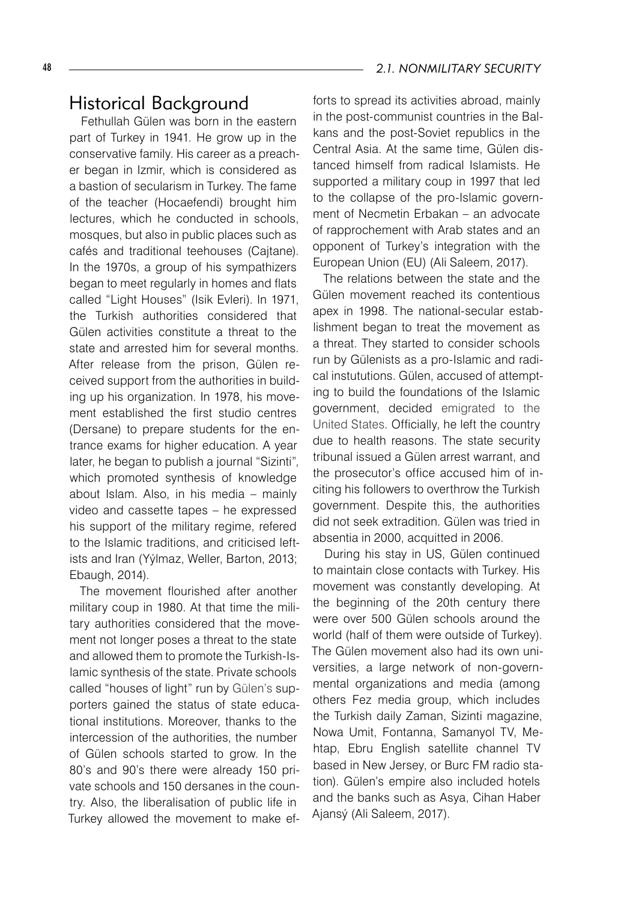### Historical Background

Fethullah Gülen was born in the eastern part of Turkey in 1941. He grow up in the conservative family. His career as a preacher began in Izmir, which is considered as a bastion of secularism in Turkey. The fame of the teacher (Hocaefendi) brought him lectures, which he conducted in schools, mosques, but also in public places such as cafés and traditional teehouses (Cajtane). In the 1970s, a group of his sympathizers began to meet regularly in homes and flats called "Light Houses" (Isik Evleri). In 1971, the Turkish authorities considered that Gülen activities constitute a threat to the state and arrested him for several months. After release from the prison, Gülen received support from the authorities in building up his organization. In 1978, his movement established the first studio centres (Dersane) to prepare students for the entrance exams for higher education. A year later, he began to publish a journal "Sizinti", which promoted synthesis of knowledge about Islam. Also, in his media – mainly video and cassette tapes – he expressed his support of the military regime, refered to the Islamic traditions, and criticised leftists and Iran (Yýlmaz, Weller, Barton, 2013; Ebaugh, 2014).

The movement flourished after another military coup in 1980. At that time the military authorities considered that the movement not longer poses a threat to the state and allowed them to promote the Turkish-Islamic synthesis of the state. Private schools called "houses of light" run by Gülen's supporters gained the status of state educational institutions. Moreover, thanks to the intercession of the authorities, the number of Gülen schools started to grow. In the 80's and 90's there were already 150 private schools and 150 dersanes in the country. Also, the liberalisation of public life in Turkey allowed the movement to make efforts to spread its activities abroad, mainly in the post-communist countries in the Balkans and the post-Soviet republics in the Central Asia. At the same time, Gülen distanced himself from radical Islamists. He supported a military coup in 1997 that led to the collapse of the pro-Islamic government of Necmetin Erbakan – an advocate of rapprochement with Arab states and an opponent of Turkey's integration with the European Union (EU) (Ali Saleem, 2017).

The relations between the state and the Gülen movement reached its contentious apex in 1998. The national-secular establishment began to treat the movement as a threat. They started to consider schools run by Gülenists as a pro-Islamic and radical instututions. Gülen, accused of attempting to build the foundations of the Islamic government, decided emigrated to the United States. Officially, he left the country due to health reasons. The state security tribunal issued a Gülen arrest warrant, and the prosecutor's office accused him of inciting his followers to overthrow the Turkish government. Despite this, the authorities did not seek extradition. Gülen was tried in absentia in 2000, acquitted in 2006.

During his stay in US, Gülen continued to maintain close contacts with Turkey. His movement was constantly developing. At the beginning of the 20th century there were over 500 Gülen schools around the world (half of them were outside of Turkey). The Gülen movement also had its own universities, a large network of non-governmental organizations and media (among others Fez media group, which includes the Turkish daily Zaman, Sizinti magazine, Nowa Umit, Fontanna, Samanyol TV, Mehtap, Ebru English satellite channel TV based in New Jersey, or Burc FM radio station). Gülen's empire also included hotels and the banks such as Asya, Cihan Haber Ajansý (Ali Saleem, 2017).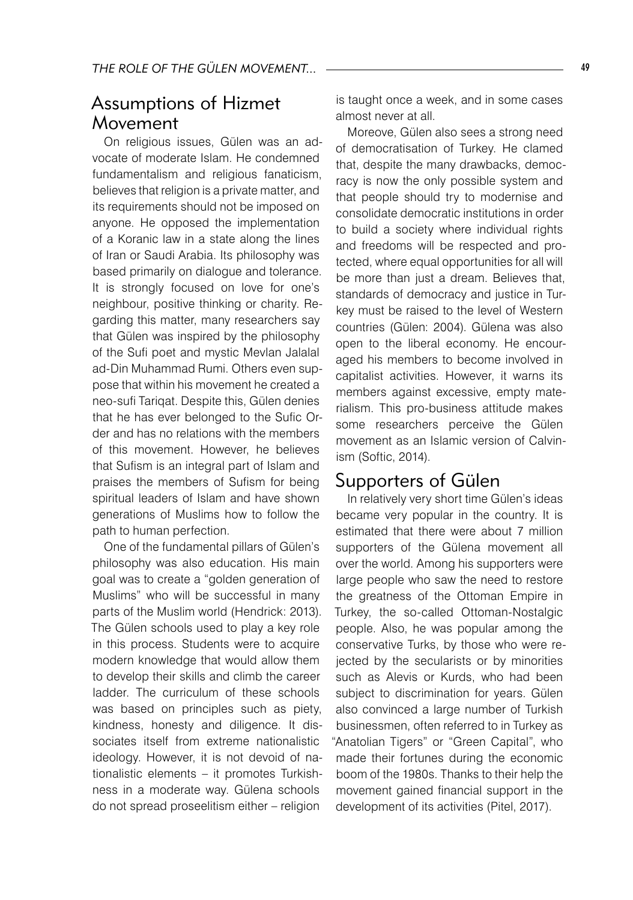## Assumptions of Hizmet Movement

On religious issues, Gülen was an advocate of moderate Islam. He condemned fundamentalism and religious fanaticism, believes that religion is a private matter, and its requirements should not be imposed on anyone. He opposed the implementation of a Koranic law in a state along the lines of Iran or Saudi Arabia. Its philosophy was based primarily on dialogue and tolerance. It is strongly focused on love for one's neighbour, positive thinking or charity. Regarding this matter, many researchers say that Gülen was inspired by the philosophy of the Sufi poet and mystic Mevlan Jalalal ad-Din Muhammad Rumi. Others even suppose that within his movement he created a neo-sufi Tariqat. Despite this, Gülen denies that he has ever belonged to the Sufic Order and has no relations with the members of this movement. However, he believes that Sufism is an integral part of Islam and praises the members of Sufism for being spiritual leaders of Islam and have shown generations of Muslims how to follow the path to human perfection.

One of the fundamental pillars of Gülen's philosophy was also education. His main goal was to create a "golden generation of Muslims" who will be successful in many parts of the Muslim world (Hendrick: 2013). The Gülen schools used to play a key role in this process. Students were to acquire modern knowledge that would allow them to develop their skills and climb the career ladder. The curriculum of these schools was based on principles such as piety, kindness, honesty and diligence. It dissociates itself from extreme nationalistic ideology. However, it is not devoid of nationalistic elements – it promotes Turkishness in a moderate way. Gülena schools do not spread proseelitism either – religion

is taught once a week, and in some cases almost never at all.

Moreove, Gülen also sees a strong need of democratisation of Turkey. He clamed that, despite the many drawbacks, democracy is now the only possible system and that people should try to modernise and consolidate democratic institutions in order to build a society where individual rights and freedoms will be respected and protected, where equal opportunities for all will be more than just a dream. Believes that, standards of democracy and justice in Turkey must be raised to the level of Western countries (Gülen: 2004). Gülena was also open to the liberal economy. He encouraged his members to become involved in capitalist activities. However, it warns its members against excessive, empty materialism. This pro-business attitude makes some researchers perceive the Gülen movement as an Islamic version of Calvinism (Softic, 2014).

#### Supporters of Gülen

In relatively very short time Gülen's ideas became very popular in the country. It is estimated that there were about 7 million supporters of the Gülena movement all over the world. Among his supporters were large people who saw the need to restore the greatness of the Ottoman Empire in Turkey, the so-called Ottoman-Nostalgic people. Also, he was popular among the conservative Turks, by those who were rejected by the secularists or by minorities such as Alevis or Kurds, who had been subject to discrimination for years. Gülen also convinced a large number of Turkish businessmen, often referred to in Turkey as "Anatolian Tigers" or "Green Capital", who made their fortunes during the economic boom of the 1980s. Thanks to their help the movement gained financial support in the development of its activities (Pitel, 2017).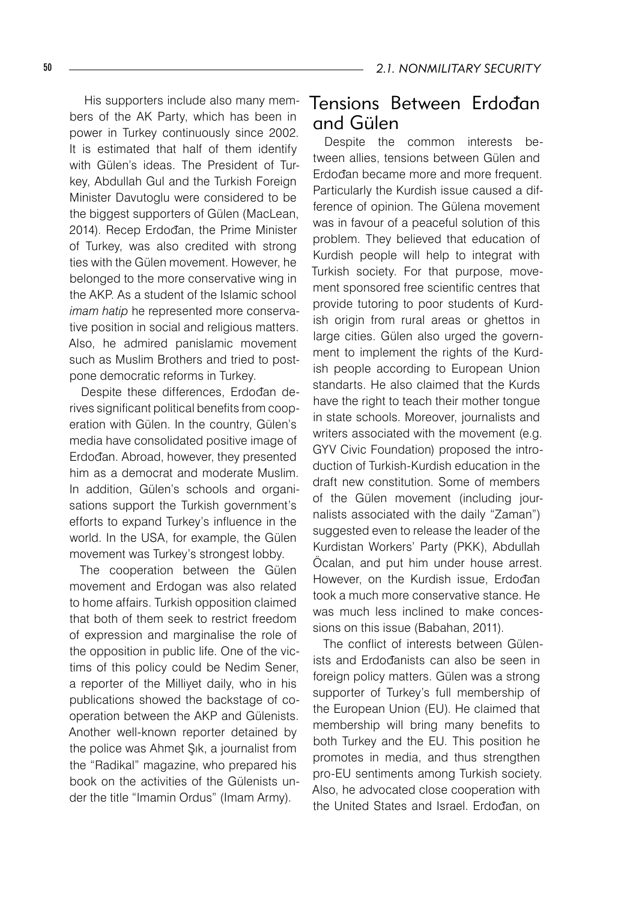His supporters include also many members of the AK Party, which has been in power in Turkey continuously since 2002. It is estimated that half of them identify with Gülen's ideas. The President of Turkey, Abdullah Gul and the Turkish Foreign Minister Davutoglu were considered to be the biggest supporters of Gülen (MacLean, 2014). Recep Erdođan, the Prime Minister of Turkey, was also credited with strong ties with the Gülen movement. However, he belonged to the more conservative wing in the AKP. As a student of the Islamic school *imam hatip* he represented more conservative position in social and religious matters. Also, he admired panislamic movement such as Muslim Brothers and tried to postpone democratic reforms in Turkey.

Despite these differences, Erdođan derives significant political benefits from cooperation with Gülen. In the country, Gülen's media have consolidated positive image of Erdođan. Abroad, however, they presented him as a democrat and moderate Muslim. In addition, Gülen's schools and organisations support the Turkish government's efforts to expand Turkey's influence in the world. In the USA, for example, the Gülen movement was Turkey's strongest lobby.

The cooperation between the Gülen movement and Erdogan was also related to home affairs. Turkish opposition claimed that both of them seek to restrict freedom of expression and marginalise the role of the opposition in public life. One of the victims of this policy could be Nedim Sener, a reporter of the Milliyet daily, who in his publications showed the backstage of cooperation between the AKP and Gülenists. Another well-known reporter detained by the police was Ahmet Şık, a journalist from the "Radikal" magazine, who prepared his book on the activities of the Gülenists under the title "Imamin Ordus" (Imam Army).

## Tensions Between Erdođan and Gülen

Despite the common interests between allies, tensions between Gülen and Erdođan became more and more frequent. Particularly the Kurdish issue caused a difference of opinion. The Gülena movement was in favour of a peaceful solution of this problem. They believed that education of Kurdish people will help to integrat with Turkish society. For that purpose, movement sponsored free scientific centres that provide tutoring to poor students of Kurdish origin from rural areas or ghettos in large cities. Gülen also urged the government to implement the rights of the Kurdish people according to European Union standarts. He also claimed that the Kurds have the right to teach their mother tongue in state schools. Moreover, journalists and writers associated with the movement (e.g. GYV Civic Foundation) proposed the introduction of Turkish-Kurdish education in the draft new constitution. Some of members of the Gülen movement (including journalists associated with the daily "Zaman") suggested even to release the leader of the Kurdistan Workers' Party (PKK), Abdullah Öcalan, and put him under house arrest. However, on the Kurdish issue, Erdođan took a much more conservative stance. He was much less inclined to make concessions on this issue (Babahan, 2011).

The conflict of interests between Gülenists and Erdođanists can also be seen in foreign policy matters. Gülen was a strong supporter of Turkey's full membership of the European Union (EU). He claimed that membership will bring many benefits to both Turkey and the EU. This position he promotes in media, and thus strengthen pro-EU sentiments among Turkish society. Also, he advocated close cooperation with the United States and Israel. Erdođan, on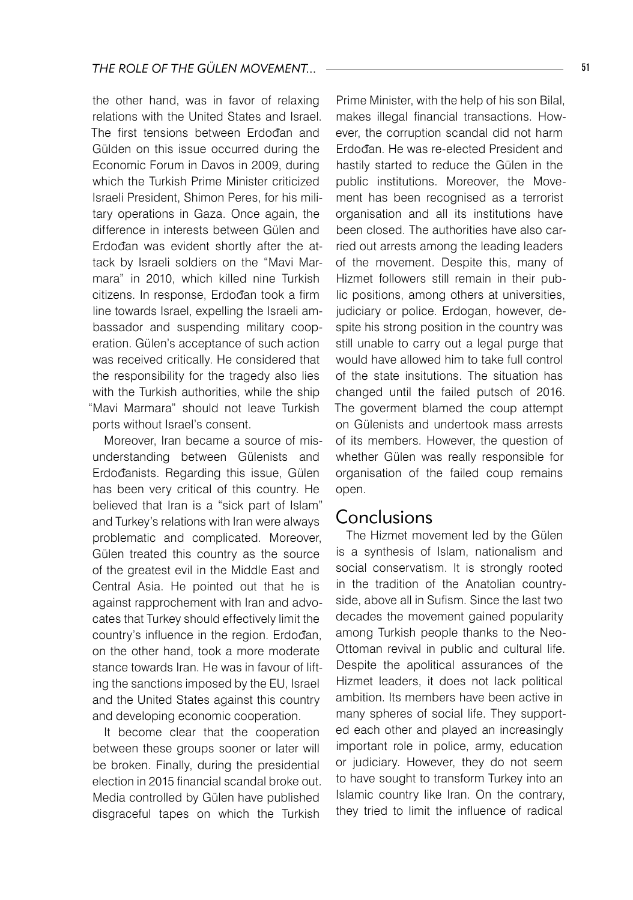the other hand, was in favor of relaxing relations with the United States and Israel. The first tensions between Erdođan and Gülden on this issue occurred during the Economic Forum in Davos in 2009, during which the Turkish Prime Minister criticized Israeli President, Shimon Peres, for his military operations in Gaza. Once again, the difference in interests between Gülen and Erdođan was evident shortly after the attack by Israeli soldiers on the "Mavi Marmara" in 2010, which killed nine Turkish citizens. In response, Erdođan took a firm line towards Israel, expelling the Israeli ambassador and suspending military cooperation. Gülen's acceptance of such action was received critically. He considered that the responsibility for the tragedy also lies with the Turkish authorities, while the ship "Mavi Marmara" should not leave Turkish ports without Israel's consent.

Moreover, Iran became a source of misunderstanding between Gülenists and Erdođanists. Regarding this issue, Gülen has been very critical of this country. He believed that Iran is a "sick part of Islam" and Turkey's relations with Iran were always problematic and complicated. Moreover, Gülen treated this country as the source of the greatest evil in the Middle East and Central Asia. He pointed out that he is against rapprochement with Iran and advocates that Turkey should effectively limit the country's influence in the region. Erdođan, on the other hand, took a more moderate stance towards Iran. He was in favour of lifting the sanctions imposed by the EU, Israel and the United States against this country and developing economic cooperation.

It become clear that the cooperation between these groups sooner or later will be broken. Finally, during the presidential election in 2015 financial scandal broke out. Media controlled by Gülen have published disgraceful tapes on which the Turkish

Prime Minister, with the help of his son Bilal, makes illegal financial transactions. However, the corruption scandal did not harm Erdođan. He was re-elected President and hastily started to reduce the Gülen in the public institutions. Moreover, the Movement has been recognised as a terrorist organisation and all its institutions have been closed. The authorities have also carried out arrests among the leading leaders of the movement. Despite this, many of Hizmet followers still remain in their public positions, among others at universities, judiciary or police. Erdogan, however, despite his strong position in the country was still unable to carry out a legal purge that would have allowed him to take full control of the state insitutions. The situation has changed until the failed putsch of 2016. The goverment blamed the coup attempt on Gülenists and undertook mass arrests of its members. However, the question of whether Gülen was really responsible for organisation of the failed coup remains open.

#### Conclusions

The Hizmet movement led by the Gülen is a synthesis of Islam, nationalism and social conservatism. It is strongly rooted in the tradition of the Anatolian countryside, above all in Sufism. Since the last two decades the movement gained popularity among Turkish people thanks to the Neo-Ottoman revival in public and cultural life. Despite the apolitical assurances of the Hizmet leaders, it does not lack political ambition. Its members have been active in many spheres of social life. They supported each other and played an increasingly important role in police, army, education or judiciary. However, they do not seem to have sought to transform Turkey into an Islamic country like Iran. On the contrary, they tried to limit the influence of radical